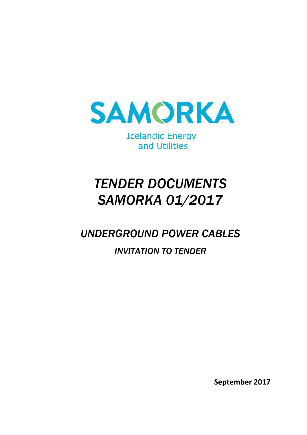

**Icelandic Energy** and Utilities

# *TENDER DOCUMENTS SAMORKA 01/2017*

# *UNDERGROUND POWER CABLES*

# *INVITATION TO TENDER*

**September 2017**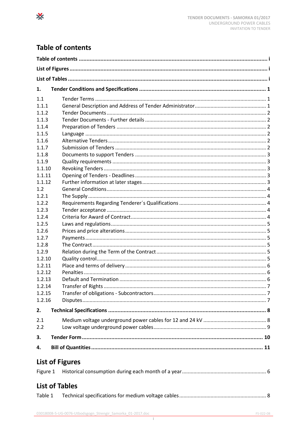# <span id="page-1-0"></span>**Table of contents**

⋇

| 1.       |                        |  |  |  |  |  |
|----------|------------------------|--|--|--|--|--|
| 1.1      |                        |  |  |  |  |  |
| 1.1.1    |                        |  |  |  |  |  |
| 1.1.2    |                        |  |  |  |  |  |
| 1.1.3    |                        |  |  |  |  |  |
| 1.1.4    |                        |  |  |  |  |  |
| 1.1.5    |                        |  |  |  |  |  |
| 1.1.6    |                        |  |  |  |  |  |
| 1.1.7    |                        |  |  |  |  |  |
| 1.1.8    |                        |  |  |  |  |  |
| 1.1.9    |                        |  |  |  |  |  |
| 1.1.10   |                        |  |  |  |  |  |
| 1.1.11   |                        |  |  |  |  |  |
| 1.1.12   |                        |  |  |  |  |  |
| 1.2      |                        |  |  |  |  |  |
| 1.2.1    |                        |  |  |  |  |  |
| 1.2.2    |                        |  |  |  |  |  |
| 1.2.3    |                        |  |  |  |  |  |
| 1.2.4    |                        |  |  |  |  |  |
| 1.2.5    |                        |  |  |  |  |  |
| 1.2.6    |                        |  |  |  |  |  |
| 1.2.7    |                        |  |  |  |  |  |
| 1.2.8    |                        |  |  |  |  |  |
| 1.2.9    |                        |  |  |  |  |  |
| 1.2.10   |                        |  |  |  |  |  |
| 1.2.11   |                        |  |  |  |  |  |
| 1.2.12   |                        |  |  |  |  |  |
| 1.2.13   |                        |  |  |  |  |  |
| 1.2.14   |                        |  |  |  |  |  |
| 1.2.15   |                        |  |  |  |  |  |
| 1.2.16   |                        |  |  |  |  |  |
|          |                        |  |  |  |  |  |
| 2.       |                        |  |  |  |  |  |
| 2.1      |                        |  |  |  |  |  |
| 2.2      |                        |  |  |  |  |  |
| 3.       |                        |  |  |  |  |  |
|          |                        |  |  |  |  |  |
| 4.       |                        |  |  |  |  |  |
|          | <b>List of Figures</b> |  |  |  |  |  |
| Figure 1 |                        |  |  |  |  |  |
|          | <b>List of Tables</b>  |  |  |  |  |  |
| Table 1  |                        |  |  |  |  |  |
|          |                        |  |  |  |  |  |

<span id="page-1-2"></span><span id="page-1-1"></span> $FS-022-08$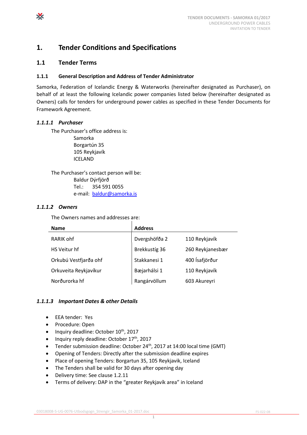### <span id="page-3-0"></span>**1. Tender Conditions and Specifications**

#### <span id="page-3-1"></span>**1.1 Tender Terms**

#### <span id="page-3-2"></span>**1.1.1 General Description and Address of Tender Administrator**

Samorka, Federation of Icelandic Energy & Waterworks (hereinafter designated as Purchaser), on behalf of at least the following Icelandic power companies listed below (hereinafter designated as Owners) calls for tenders for underground power cables as specified in these Tender Documents for Framework Agreement.

#### *1.1.1.1 Purchaser*

The Purchaser's office address is: Samorka Borgartún 35 105 Reykjavík ICELAND

The Purchaser's contact person will be: Baldur Dýrfjörð Tel.: 354 591 0055 e-mail: [baldur@samorka.is](mailto:baldur@samorka.is)

#### *1.1.1.2 Owners*

The Owners names and addresses are:

| <b>Name</b>           | <b>Address</b> |                  |
|-----------------------|----------------|------------------|
| RARIK ohf             | Dvergshöfða 2  | 110 Reykjavík    |
| HS Veitur hf          | Brekkustíg 36  | 260 Reykjanesbær |
| Orkubú Vestfjarða ohf | Stakkanesi 1   | 400 Ísafjörður   |
| Orkuveita Reykjavíkur | Bæjarhálsi 1   | 110 Reykjavík    |
| Norðurorka hf         | Rangárvöllum   | 603 Akureyri     |

#### *1.1.1.3 Important Dates & other Details*

- EEA tender: Yes
- Procedure: Open
- $\bullet$  Inquiry deadline: October  $10^{th}$ , 2017
- Inquiry reply deadline: October 17<sup>th</sup>, 2017
- Tender submission deadline: October 24<sup>th</sup>, 2017 at 14:00 local time (GMT)

1

- Opening of Tenders: Directly after the submission deadline expires
- Place of opening Tenders: Borgartun 35, 105 Reykjavik, Iceland
- The Tenders shall be valid for 30 days after opening day
- Delivery time: See clause 1.2.11
- Terms of delivery: DAP in the "greater Reykjavík area" in Iceland

X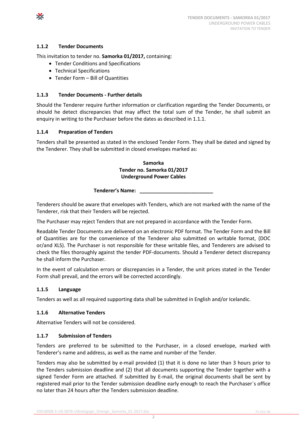#### <span id="page-4-0"></span>**1.1.2 Tender Documents**

X

This invitation to tender no. **Samorka 01/2017,** containing:

- Tender Conditions and Specifications
- Technical Specifications
- Tender Form Bill of Quantities

#### <span id="page-4-1"></span>**1.1.3 Tender Documents - Further details**

Should the Tenderer require further information or clarification regarding the Tender Documents, or should he detect discrepancies that may affect the total sum of the Tender, he shall submit an enquiry in writing to the Purchaser before the dates as described in [1.1.1.](#page-3-2)

#### <span id="page-4-2"></span>**1.1.4 Preparation of Tenders**

Tenders shall be presented as stated in the enclosed Tender Form. They shall be dated and signed by the Tenderer. They shall be submitted in closed envelopes marked as:

#### **Samorka Tender no. Samorka 01/2017 Underground Power Cables**

**Tenderer's Name: \_\_\_\_\_\_\_\_\_\_\_\_\_\_\_\_\_\_\_\_\_\_\_\_\_\_**

Tenderers should be aware that envelopes with Tenders, which are not marked with the name of the Tenderer, risk that their Tenders will be rejected.

The Purchaser may reject Tenders that are not prepared in accordance with the Tender Form.

Readable Tender Documents are delivered on an electronic PDF format. The Tender Form and the Bill of Quantities are for the convenience of the Tenderer also submitted on writable format, (DOC or/and XLS). The Purchaser is not responsible for these writable files, and Tenderers are advised to check the files thoroughly against the tender PDF-documents. Should a Tenderer detect discrepancy he shall inform the Purchaser.

In the event of calculation errors or discrepancies in a Tender, the unit prices stated in the Tender Form shall prevail, and the errors will be corrected accordingly.

#### <span id="page-4-3"></span>**1.1.5 Language**

Tenders as well as all required supporting data shall be submitted in English and/or Icelandic.

#### <span id="page-4-4"></span>**1.1.6 Alternative Tenders**

Alternative Tenders will not be considered.

#### <span id="page-4-5"></span>**1.1.7 Submission of Tenders**

Tenders are preferred to be submitted to the Purchaser, in a closed envelope, marked with Tenderer's name and address, as well as the name and number of the Tender.

Tenders may also be submitted by e-mail provided (1) that it is done no later than 3 hours prior to the Tenders submission deadline and (2) that all documents supporting the Tender together with a signed Tender Form are attached. If submitted by E-mail, the original documents shall be sent by registered mail prior to the Tender submission deadline early enough to reach the Purchaser´s office no later than 24 hours after the Tenders submission deadline.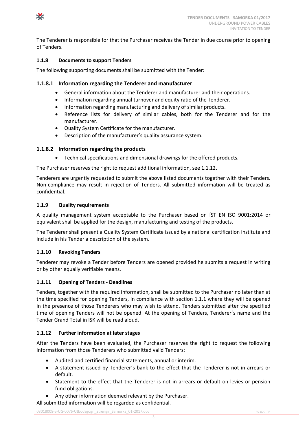

The Tenderer is responsible for that the Purchaser receives the Tender in due course prior to opening of Tenders.

#### <span id="page-5-0"></span>**1.1.8 Documents to support Tenders**

The following supporting documents shall be submitted with the Tender:

#### **1.1.8.1 Information regarding the Tenderer and manufacturer**

- General information about the Tenderer and manufacturer and their operations.
- Information regarding annual turnover and equity ratio of the Tenderer.
- Information regarding manufacturing and delivery of similar products.
- Reference lists for delivery of similar cables, both for the Tenderer and for the manufacturer.
- Quality System Certificate for the manufacturer.
- Description of the manufacturer's quality assurance system.

#### **1.1.8.2 Information regarding the products**

Technical specifications and dimensional drawings for the offered products.

The Purchaser reserves the right to request additional information, see 1.1.12.

Tenderers are urgently requested to submit the above listed documents together with their Tenders. Non-compliance may result in rejection of Tenders. All submitted information will be treated as confidential.

#### <span id="page-5-1"></span>**1.1.9 Quality requirements**

A quality management system acceptable to the Purchaser based on ÍST EN ISO 9001:2014 or equivalent shall be applied for the design, manufacturing and testing of the products.

The Tenderer shall present a Quality System Certificate issued by a national certification institute and include in his Tender a description of the system.

#### <span id="page-5-2"></span>**1.1.10 Revoking Tenders**

Tenderer may revoke a Tender before Tenders are opened provided he submits a request in writing or by other equally verifiable means.

#### <span id="page-5-3"></span>**1.1.11 Opening of Tenders - Deadlines**

Tenders, together with the required information, shall be submitted to the Purchaser no later than at the time specified for opening Tenders, in compliance with section [1.1.1](#page-3-2) where they will be opened in the presence of those Tenderers who may wish to attend. Tenders submitted after the specified time of opening Tenders will not be opened. At the opening of Tenders, Tenderer´s name and the Tender Grand Total in ISK will be read aloud.

#### <span id="page-5-4"></span>**1.1.12 Further information at later stages**

After the Tenders have been evaluated, the Purchaser reserves the right to request the following information from those Tenderers who submitted valid Tenders:

- Audited and certified financial statements, annual or interim.
- A statement issued by Tenderer´s bank to the effect that the Tenderer is not in arrears or default.
- Statement to the effect that the Tenderer is not in arrears or default on levies or pension fund obligations.
- Any other information deemed relevant by the Purchaser.

All submitted information will be regarded as confidential.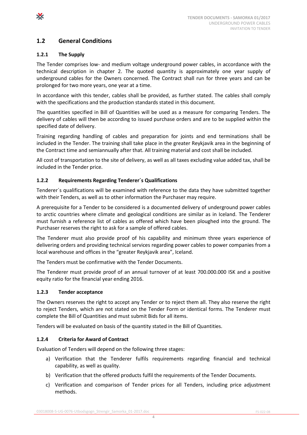#### <span id="page-6-0"></span>**1.2 General Conditions**

#### <span id="page-6-1"></span>**1.2.1 The Supply**

X

The Tender comprises low- and medium voltage underground power cables, in accordance with the technical description in chapter 2. The quoted quantity is approximately one year supply of underground cables for the Owners concerned. The Contract shall run for three years and can be prolonged for two more years, one year at a time.

In accordance with this tender, cables shall be provided, as further stated. The cables shall comply with the specifications and the production standards stated in this document.

The quantities specified in Bill of Quantities will be used as a measure for comparing Tenders. The delivery of cables will then be according to issued purchase orders and are to be supplied within the specified date of delivery.

Training regarding handling of cables and preparation for joints and end terminations shall be included in the Tender. The training shall take place in the greater Reykjavik area in the beginning of the Contract time and semiannually after that. All training material and cost shall be included.

All cost of transportation to the site of delivery, as well as all taxes excluding value added tax, shall be included in the Tender price.

#### <span id="page-6-2"></span>**1.2.2 Requirements Regarding Tenderer´s Qualifications**

Tenderer´s qualifications will be examined with reference to the data they have submitted together with their Tenders, as well as to other information the Purchaser may require.

A prerequisite for a Tender to be considered is a documented delivery of underground power cables to arctic countries where climate and geological conditions are similar as in Iceland. The Tenderer must furnish a reference list of cables as offered which have been ploughed into the ground. The Purchaser reserves the right to ask for a sample of offered cables.

The Tenderer must also provide proof of his capability and minimum three years experience of delivering orders and providing technical services regarding power cables to power companies from a local warehouse and offices in the "greater Reykjavik area", Iceland.

The Tenders must be confirmative with the Tender Documents.

The Tenderer must provide proof of an annual turnover of at least 700.000.000 ISK and a positive equity ratio for the financial year ending 2016.

#### <span id="page-6-3"></span>**1.2.3 Tender acceptance**

The Owners reserves the right to accept any Tender or to reject them all. They also reserve the right to reject Tenders, which are not stated on the Tender Form or identical forms. The Tenderer must complete the Bill of Quantities and must submit Bids for all items.

Tenders will be evaluated on basis of the quantity stated in the Bill of Quantities.

#### <span id="page-6-4"></span>**1.2.4 Criteria for Award of Contract**

Evaluation of Tenders will depend on the following three stages:

- a) Verification that the Tenderer fulfils requirements regarding financial and technical capability, as well as quality.
- b) Verification that the offered products fulfil the requirements of the Tender Documents.

4

c) Verification and comparison of Tender prices for all Tenders, including price adjustment methods.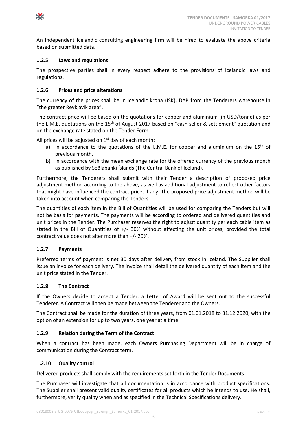

An independent Icelandic consulting engineering firm will be hired to evaluate the above criteria based on submitted data.

#### <span id="page-7-0"></span>**1.2.5 Laws and regulations**

The prospective parties shall in every respect adhere to the provisions of Icelandic laws and regulations.

#### <span id="page-7-1"></span>**1.2.6 Prices and price alterations**

The currency of the prices shall be in Icelandic krona (ISK), DAP from the Tenderers warehouse in "the greater Reykjavik area".

The contract price will be based on the quotations for copper and aluminium (in USD/tonne) as per the L.M.E. quotations on the 15<sup>th</sup> of August 2017 based on "cash seller & settlement" quotation and on the exchange rate stated on the Tender Form.

All prices will be adjusted on  $1<sup>st</sup>$  day of each month:

- a) In accordance to the quotations of the L.M.E. for copper and aluminium on the  $15<sup>th</sup>$  of previous month.
- b) In accordance with the mean exchange rate for the offered currency of the previous month as published by Seðlabanki Íslands (The Central Bank of Iceland).

Furthermore, the Tenderers shall submit with their Tender a description of proposed price adjustment method according to the above, as well as additional adjustment to reflect other factors that might have influenced the contract price, if any. The proposed price adjustment method will be taken into account when comparing the Tenders.

The quantities of each item in the Bill of Quantities will be used for comparing the Tenders but will not be basis for payments. The payments will be according to ordered and delivered quantities and unit prices in the Tender. The Purchaser reserves the right to adjust quantity per each cable item as stated in the Bill of Quantities of +/- 30% without affecting the unit prices, provided the total contract value does not alter more than +/- 20%.

#### <span id="page-7-2"></span>**1.2.7 Payments**

Preferred terms of payment is net 30 days after delivery from stock in Iceland. The Supplier shall issue an invoice for each delivery. The invoice shall detail the delivered quantity of each item and the unit price stated in the Tender.

#### <span id="page-7-3"></span>**1.2.8 The Contract**

If the Owners decide to accept a Tender, a Letter of Award will be sent out to the successful Tenderer. A Contract will then be made between the Tenderer and the Owners.

The Contract shall be made for the duration of three years, from 01.01.2018 to 31.12.2020, with the option of an extension for up to two years, one year at a time.

#### <span id="page-7-4"></span>**1.2.9 Relation during the Term of the Contract**

When a contract has been made, each Owners Purchasing Department will be in charge of communication during the Contract term.

#### <span id="page-7-5"></span>**1.2.10 Quality control**

Delivered products shall comply with the requirements set forth in the Tender Documents.

The Purchaser will investigate that all documentation is in accordance with product specifications. The Supplier shall present valid quality certificates for all products which he intends to use. He shall, furthermore, verify quality when and as specified in the Technical Specifications delivery.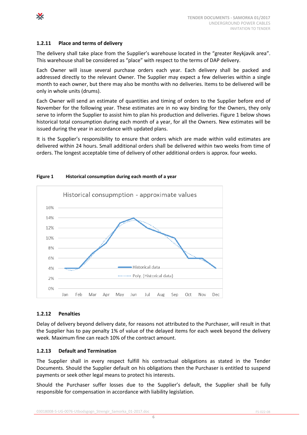

X

#### <span id="page-8-0"></span>**1.2.11 Place and terms of delivery**

The delivery shall take place from the Supplier's warehouse located in the "greater Reykjavik area". This warehouse shall be considered as "place" with respect to the terms of DAP delivery.

Each Owner will issue several purchase orders each year. Each delivery shall be packed and addressed directly to the relevant Owner. The Supplier may expect a few deliveries within a single month to each owner, but there may also be months with no deliveries. Items to be delivered will be only in whole units (drums).

Each Owner will send an estimate of quantities and timing of orders to the Supplier before end of November for the following year. These estimates are in no way binding for the Owners, they only serve to inform the Supplier to assist him to plan his production and deliveries. Figure 1 below shows historical total consumption during each month of a year, for all the Owners. New estimates will be issued during the year in accordance with updated plans.

It is the Supplier's responsibility to ensure that orders which are made within valid estimates are delivered within 24 hours. Small additional orders shall be delivered within two weeks from time of orders. The longest acceptable time of delivery of other additional orders is approx. four weeks.



#### <span id="page-8-3"></span>**Figure 1 Historical consumption during each month of a year**

#### <span id="page-8-1"></span>**1.2.12 Penalties**

Delay of delivery beyond delivery date, for reasons not attributed to the Purchaser, will result in that the Supplier has to pay penalty 1% of value of the delayed items for each week beyond the delivery week. Maximum fine can reach 10% of the contract amount.

#### <span id="page-8-2"></span>**1.2.13 Default and Termination**

The Supplier shall in every respect fulfill his contractual obligations as stated in the Tender Documents. Should the Supplier default on his obligations then the Purchaser is entitled to suspend payments or seek other legal means to protect his interests.

Should the Purchaser suffer losses due to the Supplier's default, the Supplier shall be fully responsible for compensation in accordance with liability legislation.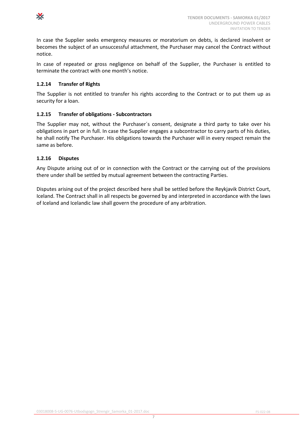

In case the Supplier seeks emergency measures or moratorium on debts, is declared insolvent or becomes the subject of an unsuccessful attachment, the Purchaser may cancel the Contract without notice.

In case of repeated or gross negligence on behalf of the Supplier, the Purchaser is entitled to terminate the contract with one month's notice.

#### <span id="page-9-0"></span>**1.2.14 Transfer of Rights**

The Supplier is not entitled to transfer his rights according to the Contract or to put them up as security for a loan.

#### <span id="page-9-1"></span>**1.2.15 Transfer of obligations - Subcontractors**

The Supplier may not, without the Purchaser´s consent, designate a third party to take over his obligations in part or in full. In case the Supplier engages a subcontractor to carry parts of his duties, he shall notify The Purchaser. His obligations towards the Purchaser will in every respect remain the same as before.

#### <span id="page-9-2"></span>**1.2.16 Disputes**

Any Dispute arising out of or in connection with the Contract or the carrying out of the provisions there under shall be settled by mutual agreement between the contracting Parties.

Disputes arising out of the project described here shall be settled before the Reykjavik District Court, Iceland. The Contract shall in all respects be governed by and interpreted in accordance with the laws of Iceland and Icelandic law shall govern the procedure of any arbitration.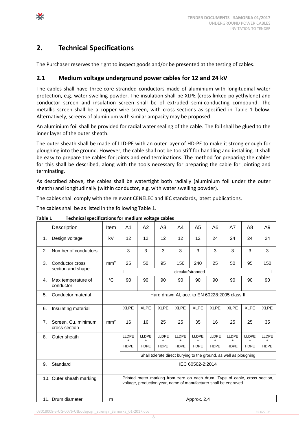## <span id="page-10-0"></span>**2. Technical Specifications**

X

The Purchaser reserves the right to inspect goods and/or be presented at the testing of cables.

#### <span id="page-10-1"></span>**2.1 Medium voltage underground power cables for 12 and 24 kV**

The cables shall have three-core stranded conductors made of aluminium with longitudinal water protection, e.g. water swelling powder. The insulation shall be XLPE (cross linked polyethylene) and conductor screen and insulation screen shall be of extruded semi-conducting compound. The metallic screen shall be a copper wire screen, with cross sections as specified in [Table 1](#page-10-3) below. Alternatively, screens of aluminium with similar ampacity may be proposed.

An aluminium foil shall be provided for radial water sealing of the cable. The foil shall be glued to the inner layer of the outer sheath.

The outer sheath shall be made of LLD-PE with an outer layer of HD-PE to make it strong enough for ploughing into the ground. However, the cable shall not be too stiff for handling and installing. It shall be easy to prepare the cables for joints and end terminations. The method for preparing the cables for this shall be described, along with the tools necessary for preparing the cable for jointing and terminating.

As described above, the cables shall be watertight both radially (aluminium foil under the outer sheath) and longitudinally (within conductor, e.g. with water swelling powder).

The cables shall comply with the relevant CENELEC and IEC standards, latest publications.

The cables shall be as listed in the following [Table 1.](#page-10-3)

|                 | Description                          | Item            | A <sub>1</sub>                                                                                                                                   | A2                                | A <sub>3</sub>                                                                                                | A4                                 | A <sub>5</sub>                             | A6                                       | A7                                | A8                                | A <sub>9</sub>              |
|-----------------|--------------------------------------|-----------------|--------------------------------------------------------------------------------------------------------------------------------------------------|-----------------------------------|---------------------------------------------------------------------------------------------------------------|------------------------------------|--------------------------------------------|------------------------------------------|-----------------------------------|-----------------------------------|-----------------------------|
| 1.              | Design voltage                       | kV              | 12                                                                                                                                               | 12                                | 12                                                                                                            | 12                                 | 12                                         | 24                                       | 24                                | 24                                | 24                          |
| 2.              | Number of conductors                 |                 | 3                                                                                                                                                | 3                                 | 3                                                                                                             | 3                                  | 3                                          | 3                                        | 3                                 | 3                                 | 3                           |
| 3.              | Conductor cross<br>section and shape | mm <sup>2</sup> | 25                                                                                                                                               | 50                                | 95                                                                                                            | 150                                | 240<br>circular/stranded ----------------- | 25                                       | 50                                | 95                                | 150                         |
| 4.              | Max temperature of<br>conductor      | $\rm ^{\circ}C$ | 90                                                                                                                                               | 90                                | 90                                                                                                            | 90                                 | 90                                         | 90                                       | 90                                | 90                                | 90                          |
| 5.              | Conductor material                   |                 |                                                                                                                                                  |                                   | Hard drawn AI, acc. to EN 60228:2005 class II                                                                 |                                    |                                            |                                          |                                   |                                   |                             |
| 6.              | Insulating material                  |                 | <b>XLPE</b>                                                                                                                                      | <b>XLPE</b>                       | <b>XLPE</b>                                                                                                   | <b>XLPE</b>                        | <b>XLPE</b>                                | <b>XLPE</b>                              | <b>XLPE</b>                       | <b>XLPE</b>                       | <b>XLPE</b>                 |
| 7.              | Screen, Cu, minimum<br>cross section | mm <sup>2</sup> | 16                                                                                                                                               | 16                                | 25                                                                                                            | 25                                 | 35                                         | 16                                       | 25                                | 25                                | 35                          |
| 8.              | Outer sheath                         |                 | <b>LLDPE</b><br><b>HDPE</b>                                                                                                                      | LLDPE<br>$\ddot{}$<br><b>HDPE</b> | <b>LLDPE</b><br>$\ddot{}$<br><b>HDPE</b><br>Shall tolerate direct burying to the ground, as well as ploughing | <b>LLDPE</b><br>$+$<br><b>HDPE</b> | <b>LLDPE</b><br><b>HDPE</b>                | <b>LLDPE</b><br>$\ddot{}$<br><b>HDPE</b> | LLDPE<br>$\ddot{}$<br><b>HDPE</b> | LLDPE<br>$\ddot{}$<br><b>HDPE</b> | <b>LLDPE</b><br><b>HDPE</b> |
| 9.              | Standard                             |                 | IEC 60502-2:2014                                                                                                                                 |                                   |                                                                                                               |                                    |                                            |                                          |                                   |                                   |                             |
| 10 <sub>1</sub> | Outer sheath marking                 |                 | Printed meter marking from zero on each drum. Type of cable, cross section,<br>voltage, production year, name of manufacturer shall be engraved. |                                   |                                                                                                               |                                    |                                            |                                          |                                   |                                   |                             |
| 11.             | Drum diameter                        | m               |                                                                                                                                                  |                                   |                                                                                                               |                                    | Approx. 2,4                                |                                          |                                   |                                   |                             |

<span id="page-10-3"></span><span id="page-10-2"></span>**Table 1 Technical specifications for medium voltage cables**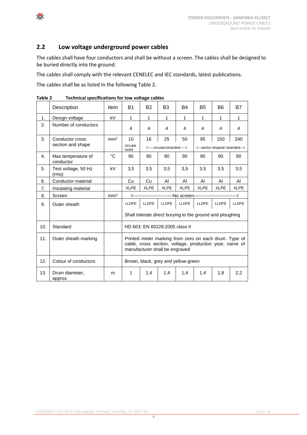#### <span id="page-11-0"></span>**2.2 Low voltage underground power cables**

The cables shall have four conductors and shall be without a screen. The cables shall be designed to be buried directly into the ground.

The cables shall comply with the relevant CENELEC and IEC standards, latest publications.

The cables shall be as listed in the following [Table 2.](#page-11-2)

|     | Description                          | Item            | <b>B1</b>                                                                                                                                          | <b>B2</b>                                                 | B <sub>3</sub>                      | <b>B4</b>    | <b>B5</b>                                          | B6          | B7           |
|-----|--------------------------------------|-----------------|----------------------------------------------------------------------------------------------------------------------------------------------------|-----------------------------------------------------------|-------------------------------------|--------------|----------------------------------------------------|-------------|--------------|
| 1.  | Design voltage                       | kV              | $\mathbf{1}$                                                                                                                                       | $\mathbf{1}$                                              | 1                                   | 1            | $\mathbf{1}$                                       | 1           | 1            |
| 2.  | Number of conductors                 |                 | 4                                                                                                                                                  | 4                                                         | 4                                   | 4            | 4                                                  | 4           | 4            |
| 3.  | Conductor cross<br>section and shape | mm <sup>2</sup> | 10<br>circular<br>/solid                                                                                                                           | 16                                                        | 25<br>I-----circular/stranded-----I | 50           | 95<br>150<br>240<br>I---sector-shaped/stranded---I |             |              |
| 4.  | Max temperature of<br>conductor      | °C              | 90                                                                                                                                                 | 90                                                        | 90                                  | 90           | 90                                                 | 90          | 90           |
| 5.  | Test voltage, 50 Hz<br>(rms)         | kV              | 3,5                                                                                                                                                | 3,5                                                       | 3,5                                 | 3,5          | 3,5                                                | 3,5         | 3,5          |
| 6.  | Conductor material                   |                 | Cu                                                                                                                                                 | Cu                                                        | AI                                  | AI           | AI                                                 | AI          | AI           |
| 7.  | Insulating material                  |                 | <b>XLPE</b>                                                                                                                                        | <b>XLPE</b>                                               | <b>XLPE</b>                         | <b>XLPE</b>  | <b>XLPE</b>                                        | <b>XLPE</b> | <b>XLPE</b>  |
| 8.  | Screen                               | mm <sup>2</sup> |                                                                                                                                                    | I--------------------------No screen--------------        |                                     |              |                                                    |             |              |
| 9.  | Outer sheath                         |                 | <b>LLDPE</b>                                                                                                                                       | <b>LLDPE</b>                                              | <b>LLDPE</b>                        | <b>LLDPE</b> | <b>LLDPE</b>                                       | LLDPE       | <b>LLDPE</b> |
|     |                                      |                 |                                                                                                                                                    | Shall tolerate direct burying to the ground and ploughing |                                     |              |                                                    |             |              |
| 10. | Standard                             |                 |                                                                                                                                                    | HD 603; EN 60228:2005 class II                            |                                     |              |                                                    |             |              |
| 11. | Outer sheath marking                 |                 | Printed meter marking from zero on each drum. Type of<br>cable, cross section, voltage, production year, name of<br>manufacturer shall be engraved |                                                           |                                     |              |                                                    |             |              |
| 12. | Colour of conductors                 |                 | Brown, black, grey and yellow-green                                                                                                                |                                                           |                                     |              |                                                    |             |              |
| 13. | Drum diameter,<br>approx.            | m               | 1                                                                                                                                                  | 1,4                                                       | 1,4                                 | 1,4          | 1,4                                                | 1,8         | 2,2          |

<span id="page-11-2"></span><span id="page-11-1"></span>**Table 2 Technical specifications for low voltage cables**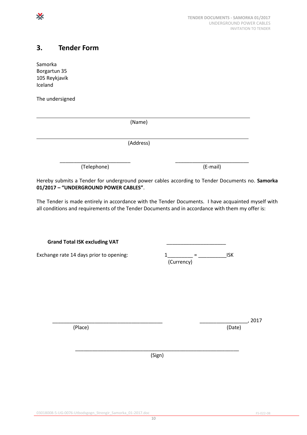### <span id="page-12-0"></span>**3. Tender Form**

Samorka Borgartun 35 105 Reykjavík Iceland

X

The undersigned

| (Name)      |          |
|-------------|----------|
|             |          |
| (Address)   |          |
|             |          |
| (Telephone) | (E-mail) |

Hereby submits a Tender for underground power cables according to Tender Documents no. **Samorka 01/2017 – "UNDERGROUND POWER CABLES"**.

The Tender is made entirely in accordance with the Tender Documents. I have acquainted myself with all conditions and requirements of the Tender Documents and in accordance with them my offer is:

**Grand Total ISK excluding VAT** \_\_\_\_\_\_\_\_\_\_\_\_\_\_\_\_\_\_\_\_\_

Exchange rate 14 days prior to opening:

|            | isk |
|------------|-----|
| (Currency) |     |

(Place) (Date)

\_\_\_\_\_\_\_\_\_\_\_\_\_\_\_\_\_\_\_\_\_\_\_\_\_\_\_\_\_\_\_\_\_\_\_\_\_\_\_ \_\_\_\_\_\_\_\_\_\_\_\_\_\_\_\_\_, 2017

\_\_\_\_\_\_\_\_\_\_\_\_\_\_\_\_\_\_\_\_\_\_\_\_\_\_\_\_\_\_\_\_\_\_\_\_\_\_\_\_\_\_\_\_\_\_\_\_\_\_\_\_\_\_\_\_\_\_ (Sign)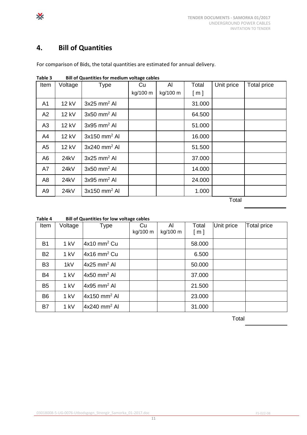# <span id="page-13-0"></span>**4. Bill of Quantities**

| .              | בווו טו עממותהנוכא וטו וווכמומווו voltage capita |                            |          |          |        |            |                    |  |  |
|----------------|--------------------------------------------------|----------------------------|----------|----------|--------|------------|--------------------|--|--|
| Item           | Voltage                                          | Type                       | Cu.      | AI       | Total  | Unit price | <b>Total price</b> |  |  |
|                |                                                  |                            | kg/100 m | kg/100 m | [ m ]  |            |                    |  |  |
| A <sub>1</sub> | 12 kV                                            | $3x25$ mm <sup>2</sup> Al  |          |          | 31.000 |            |                    |  |  |
| A2             | 12 kV                                            | $3x50$ mm <sup>2</sup> Al  |          |          | 64.500 |            |                    |  |  |
| A3             | 12 kV                                            | $3x95$ mm <sup>2</sup> AI  |          |          | 51.000 |            |                    |  |  |
| A4             | 12 kV                                            | $3x150$ mm <sup>2</sup> Al |          |          | 16.000 |            |                    |  |  |
| A <sub>5</sub> | 12 kV                                            | 3x240 mm <sup>2</sup> Al   |          |          | 51.500 |            |                    |  |  |
| A <sub>6</sub> | 24kV                                             | $3x25$ mm <sup>2</sup> Al  |          |          | 37.000 |            |                    |  |  |
| A7             | 24kV                                             | $3x50$ mm <sup>2</sup> Al  |          |          | 14.000 |            |                    |  |  |
| A <sub>8</sub> | 24kV                                             | $3x95$ mm <sup>2</sup> Al  |          |          | 24.000 |            |                    |  |  |
| A <sub>9</sub> | 24kV                                             | $3x150$ mm <sup>2</sup> Al |          |          | 1.000  |            |                    |  |  |
|                |                                                  |                            |          |          |        |            |                    |  |  |

For comparison of Bids, the total quantities are estimated for annual delivery.

<span id="page-13-1"></span>

| Table 3 | <b>Bill of Quantities for medium voltage cables</b> |
|---------|-----------------------------------------------------|
|         |                                                     |

Total

| Item           | Voltage | Type                       | Cu<br>kg/100 m | Al<br>kg/100 m | Total<br>[ m ] | Unit price | <b>Total price</b> |
|----------------|---------|----------------------------|----------------|----------------|----------------|------------|--------------------|
| <b>B1</b>      | 1 kV    | $4x10$ mm <sup>2</sup> Cu  |                |                | 58.000         |            |                    |
| <b>B2</b>      | 1 kV    | $4x16$ mm <sup>2</sup> Cu  |                |                | 6.500          |            |                    |
| B <sub>3</sub> | 1kV     | $4x25$ mm <sup>2</sup> Al  |                |                | 50.000         |            |                    |
| <b>B4</b>      | 1 kV    | $4x50$ mm <sup>2</sup> AI  |                |                | 37.000         |            |                    |
| B <sub>5</sub> | 1 kV    | $4x95$ mm <sup>2</sup> AI  |                |                | 21.500         |            |                    |
| B <sub>6</sub> | 1 kV    | $4x150$ mm <sup>2</sup> AI |                |                | 23.000         |            |                    |
| B <sub>7</sub> | 1 kV    | $4x240$ mm <sup>2</sup> Al |                |                | 31.000         |            |                    |

<span id="page-13-2"></span>**Table 4 Bill of Quantities for low voltage cables**

Total

⋇